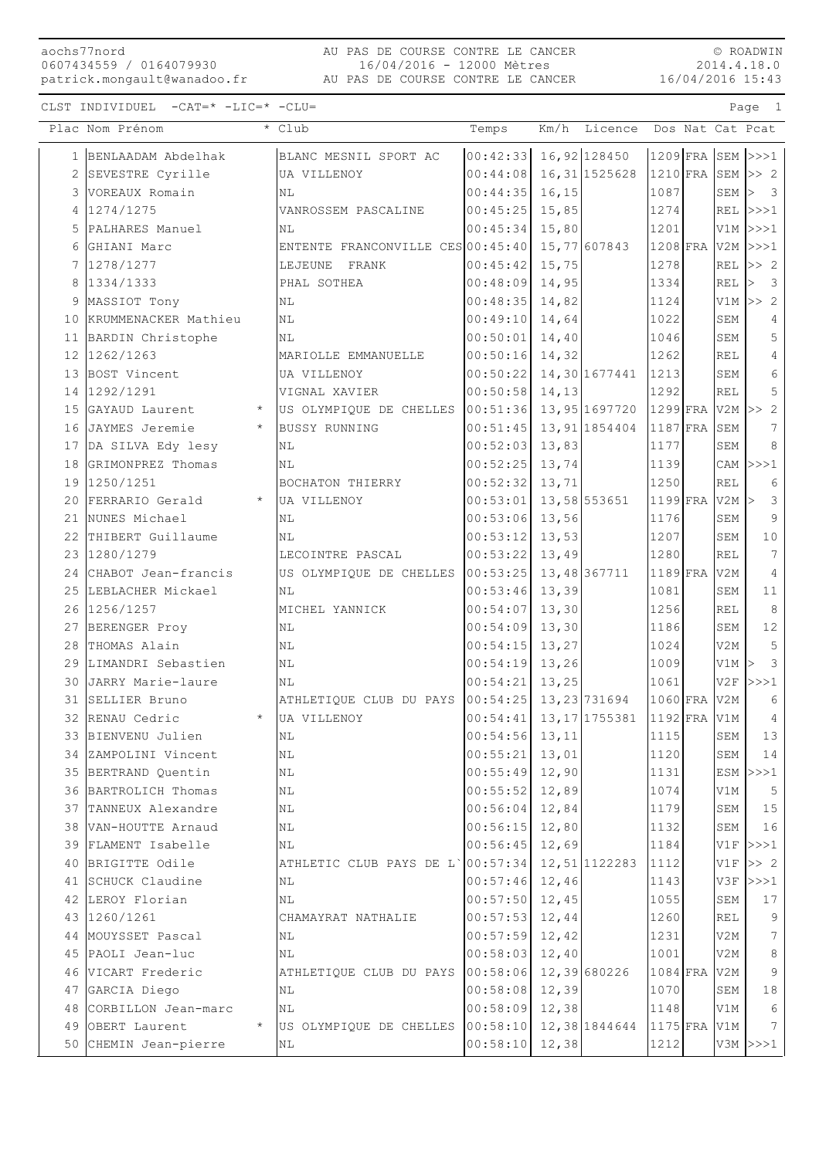## 16/04/2016 15:43 AU PAS DE COURSE CONTRE LE CANCER patrick.mongault@wanadoo.fr AU PAS DE COURSE CONTRE LE CANCER 16/04/2016 - 12000 Mètres

© ROADWIN 2014.4.18.0

|    | Plac Nom Prénom                          |            | * Club                            | Temps             |        | Km/h Licence               |                       |             | Dos Nat Cat Pcat              |
|----|------------------------------------------|------------|-----------------------------------|-------------------|--------|----------------------------|-----------------------|-------------|-------------------------------|
|    | 1 BENLAADAM Abdelhak                     |            | BLANC MESNIL SPORT AC             | 00:42:33          |        | 16,92 128450               |                       |             | $1209$ FRA SEM $>>1$          |
|    | 2 SEVESTRE Cyrille                       |            | UA VILLENOY                       | 00:44:08          |        | 16, 31 1525628             | $1210$ FRA SEM $>> 2$ |             |                               |
|    | 3 VOREAUX Romain                         |            | ΝL                                | 00:44:35          | 16,15  |                            | 1087                  | SEM         | $\overline{\mathbf{3}}$<br>l> |
|    | 4 1274/1275                              |            | VANROSSEM PASCALINE               | 00:45:25          | 15,85  |                            | 1274                  | REL         | >>>1                          |
| 5  | PALHARES Manuel                          |            | NL                                | 00:45:34          | 15,80  |                            | 1201                  | V1M         | >>>1                          |
| 6  | GHIANI Marc                              |            | ENTENTE FRANCONVILLE CES 00:45:40 |                   |        | 15,77 607843               | 1208 FRA              |             | $V2M$ $>>$ $1$                |
|    | 7 1278/1277                              |            | LEJEUNE FRANK                     | 00:45:42          | 15,75  |                            | 1278                  | <b>REL</b>  | >> 2                          |
| 8  | 1334/1333                                |            | PHAL SOTHEA                       | 00:48:09          | 14,95  |                            | 1334                  | REL         | $\overline{\mathbf{3}}$<br>l> |
| 9  | MASSIOT Tony                             |            | ΝL                                | 00:48:35          | 14,82  |                            | 1124                  | V1M         | >> 2                          |
| 10 | KRUMMENACKER Mathieu                     |            | ΝL                                | 00:49:10          | 14,64  |                            | 1022                  | SEM         | 4                             |
|    | 11 BARDIN Christophe                     |            | NL                                | 00:50:01          | 14,40  |                            | 1046                  | ${\tt SEM}$ | 5                             |
|    | 12 1262/1263                             |            | MARIOLLE EMMANUELLE               | 00:50:16          | 14,32  |                            | 1262                  | <b>REL</b>  | $\overline{4}$                |
|    | 13 BOST Vincent                          |            | UA VILLENOY                       | 00:50:22          |        | 14,30 1677441              | 1213                  | SEM         | 6                             |
|    | 14 1292/1291                             |            | VIGNAL XAVIER                     | 00:50:58          | 14,13  |                            | 1292                  | <b>REL</b>  | 5                             |
|    | 15 GAYAUD Laurent                        | $\star$    | US OLYMPIQUE DE CHELLES           | 00:51:36          |        | 13,95 1697720 1299 FRA V2M |                       |             | >> 2                          |
| 16 | JAYMES Jeremie                           | $\star$    | <b>BUSSY RUNNING</b>              | 00:51:45          |        | 13,91 1854404              | $1187$ FRA SEM        |             | 7                             |
|    | 17 DA SILVA Edy lesy                     |            | NL                                | 00:52:03          | 13,83  |                            | 1177                  | SEM         | 8                             |
|    | 18 GRIMONPREZ Thomas                     |            | ΝL                                | 00:52:25          | 13,74  |                            | 1139                  | CAM         | >>>1                          |
|    | 19 1250/1251                             |            | BOCHATON THIERRY                  | 00:52:32          | 13, 71 |                            | 1250                  | REL         | 6                             |
| 20 | FERRARIO Gerald                          |            | UA VILLENOY                       | 00:53:01          |        | 13,58 553651               | $1199$ FRA            | V2M         | 3                             |
|    | 21 NUNES Michael                         |            | NL                                | 00:53:06          | 13,56  |                            | 1176                  | SEM         | 9                             |
|    | 22 THIBERT Guillaume                     |            | NL                                | 00:53:12          | 13,53  |                            | 1207                  | SEM         | $1\,0$                        |
|    | 23 1280/1279                             |            | LECOINTRE PASCAL                  | 00:53:22          | 13,49  |                            | 1280                  | <b>REL</b>  | 7                             |
|    | 24 CHABOT Jean-francis                   |            | US OLYMPIQUE DE CHELLES           | 00:53:25          |        | 13,48 367711               | $1189$ FRA            | V2M         | $\overline{4}$                |
|    | 25 LEBLACHER Mickael                     |            | ΝL                                | 00:53:46          | 13,39  |                            | 1081                  | SEM         | 11                            |
|    | 26 1256/1257                             |            | MICHEL YANNICK                    | 00:54:07          | 13,30  |                            | 1256                  | <b>REL</b>  | 8                             |
|    | 27 BERENGER Proy                         |            | N <sub>L</sub>                    | 00:54:09          | 13,30  |                            | 1186                  | SEM         | $1\,2$                        |
|    | 28 THOMAS Alain                          |            | N <sub>L</sub>                    | 00:54:15          | 13,27  |                            | 1024                  | V2M         | 5                             |
|    | 29 LIMANDRI Sebastien                    |            | NL                                | 00:54:19          | 13,26  |                            | 1009                  | V1M         | $\mathcal{E}$                 |
| 30 | JARRY Marie-laure                        |            | NL                                | 00:54:21          | 13,25  |                            | 1061                  | V2F         | >>>1                          |
| 31 | SELLIER Bruno                            |            | ATHLETIQUE CLUB DU PAYS           | 00:54:25          |        | 13, 23 731694              | $1060$ FRA            | V2M         | 6                             |
|    | 32 RENAU Cedric                          | $\star$    | UA VILLENOY                       | 00:54:41          |        | 13, 17 1755381             | 1192 FRA V1M          |             | $\overline{4}$                |
|    | 33 BIENVENU Julien                       |            | $\rm NL$                          | $00:54:56$ 13, 11 |        |                            | 1115                  | SEM         | 13                            |
|    | 34 ZAMPOLINI Vincent                     |            | ΝL                                | 00:55:21          | 13,01  |                            | 1120                  | SEM         | 14                            |
|    | 35 BERTRAND Quentin                      |            | ΝL                                | 00:55:49          | 12,90  |                            | 1131                  | ESM         | >>>1                          |
|    | 36 BARTROLICH Thomas                     |            | NL                                | 00:55:52          | 12,89  |                            | 1074                  | V1M         | 5                             |
|    | 37 TANNEUX Alexandre                     |            | N <sub>L</sub>                    | 00:56:04          | 12,84  |                            | 1179                  | SEM         | 15                            |
|    | 38 VAN-HOUTTE Arnaud                     |            | ΝL                                | 00:56:15          | 12,80  |                            | 1132                  | SEM         | 16                            |
|    | 39 FLAMENT Isabelle<br>40 BRIGITTE Odile |            | ΝL                                | 00:56:45          | 12,69  | 12,51 1122283              | 1184                  | V1F         | >>>1                          |
|    | 41 SCHUCK Claudine                       |            | ATHLETIC CLUB PAYS DE L` 00:57:34 | 00:57:46          | 12,46  |                            | 1112<br>1143          | V1F<br>V3F  | >> 2                          |
|    | 42 LEROY Florian                         |            | ΝL<br>ΝL                          | 00:57:50          | 12,45  |                            | 1055                  | SEM         | >>>1<br>17                    |
|    | 43 1260/1261                             |            | CHAMAYRAT NATHALIE                | 00:57:53          | 12,44  |                            | 1260                  | REL         | 9                             |
| 44 | MOUYSSET Pascal                          |            | NL                                | 00:57:59          | 12,42  |                            | 1231                  | V2M         | 7                             |
|    | 45 PAOLI Jean-luc                        |            | ΝL                                | 00:58:03          | 12,40  |                            | 1001                  | V2M         | 8                             |
|    | 46 VICART Frederic                       |            | ATHLETIQUE CLUB DU PAYS           | 00:58:06          |        | 12,39 680226               | $1084$ FRA            | V2M         | 9                             |
|    | 47 GARCIA Diego                          |            | ΝL                                | 00:58:08          | 12,39  |                            | 1070                  | SEM         | 18                            |
|    | 48 CORBILLON Jean-marc                   |            | N <sub>L</sub>                    | 00:58:09          | 12,38  |                            | 1148                  | V1M         | 6                             |
| 49 | OBERT Laurent                            | $^{\star}$ | US OLYMPIQUE DE CHELLES           | 00:58:10          |        | 12,38 1844644              | $1175$ FRA            | V1M         | $7\phantom{.}$                |
|    | 50 CHEMIN Jean-pierre                    |            | NL                                | 00:58:10          | 12,38  |                            | 1212                  |             | $V3M$ $>>$ 1                  |
|    |                                          |            |                                   |                   |        |                            |                       |             |                               |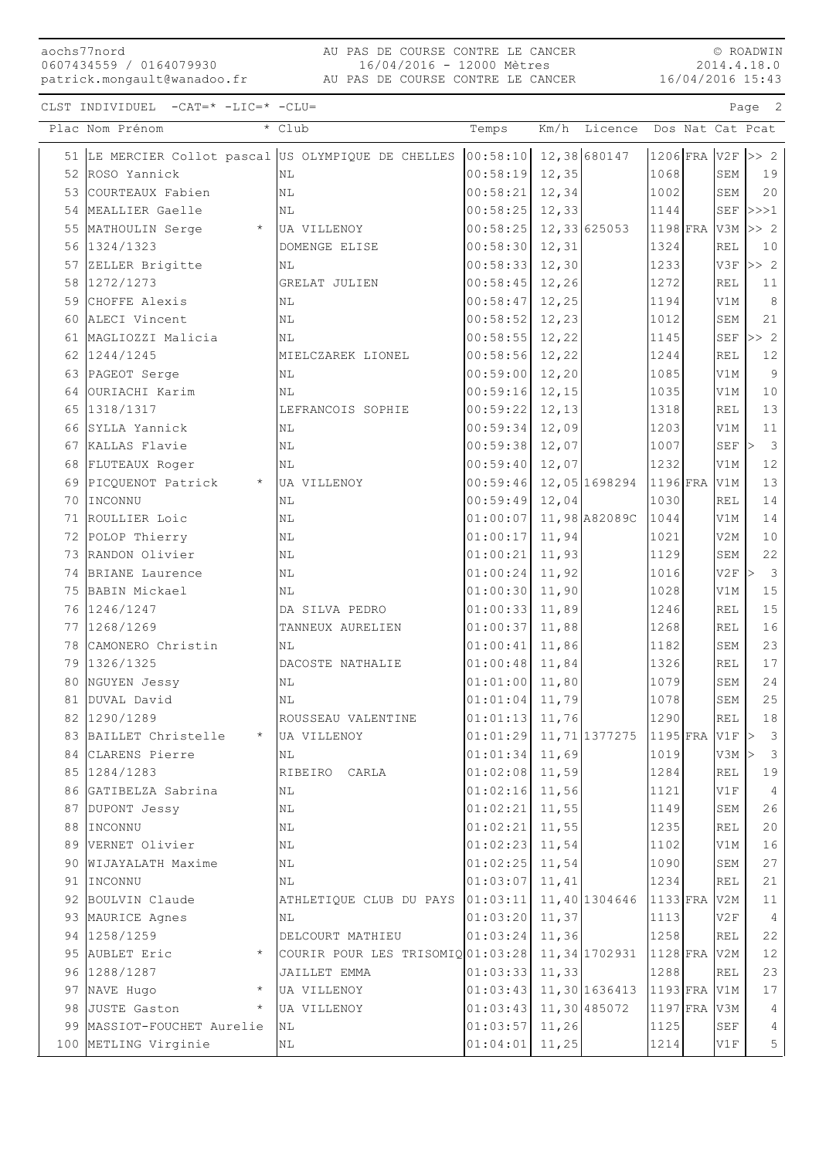aochs77nord 0607434559 / 0164079930

16/04/2016 15:43 AU PAS DE COURSE CONTRE LE CANCER patrick.mongault@wanadoo.fr AU PAS DE COURSE CONTRE LE CANCER 16/04/2016 - 12000 Mètres

© ROADWIN 2014.4.18.0

|    | Plac Nom Prénom                                | * Club                                                                    | Temps                     |        | Km/h Licence Dos Nat Cat Pcat |                |                      |                                    |
|----|------------------------------------------------|---------------------------------------------------------------------------|---------------------------|--------|-------------------------------|----------------|----------------------|------------------------------------|
|    |                                                | 51 LE MERCIER Collot pascal US OLYMPIQUE DE CHELLES 00:58:10 12,38 680147 |                           |        |                               | 1206 FRA V2F   |                      | >> 2                               |
|    | 52 ROSO Yannick                                | NL                                                                        | 00:58:19                  | 12,35  |                               | 1068           | SEM                  | 19                                 |
|    | 53 COURTEAUX Fabien                            | NL                                                                        | 00:58:21                  | 12,34  |                               | 1002           | ${\tt SEM}$          | 20                                 |
|    | 54 MEALLIER Gaelle                             | NL                                                                        | 00:58:25                  | 12,33  |                               | 1144           |                      | SEF $ >>$ 1                        |
|    | 55 MATHOULIN Serge                             | * UA VILLENOY                                                             | 00:58:25                  |        | 12,33 625053                  | $1198$ FRA     | V3M                  | >> 2                               |
|    | 56 1324/1323                                   | DOMENGE ELISE                                                             | 00:58:30                  | 12,31  |                               | 1324           | <b>REL</b>           | 10                                 |
|    | 57 ZELLER Brigitte                             | NL                                                                        | 00:58:33                  | 12,30  |                               | 1233           | V3F                  | $>>$ 2                             |
|    | 58 1272/1273                                   | GRELAT JULIEN                                                             | 00:58:45                  | 12,26  |                               | 1272           | REL                  | 11                                 |
| 59 | CHOFFE Alexis                                  | NL                                                                        | 00:58:47                  | 12,25  |                               | 1194           | V1M                  | 8                                  |
|    | 60 ALECI Vincent                               | ΝL                                                                        | 00:58:52                  | 12,23  |                               | 1012           | SEM                  | 21                                 |
|    | 61 MAGLIOZZI Malicia                           | ΝL                                                                        | 00:58:55                  | 12,22  |                               | 1145           | $\operatorname{SEF}$ | >> 2                               |
|    | 62 1244/1245                                   | MIELCZAREK LIONEL                                                         | 00:58:56                  | 12,22  |                               | 1244           | <b>REL</b>           | $12\,$                             |
|    | 63 PAGEOT Serge                                | ΝL                                                                        | 00:59:00                  | 12, 20 |                               | 1085           | V1M                  | 9                                  |
|    | 64 OURIACHI Karim                              | ΝL                                                                        | 00:59:16                  | 12,15  |                               | 1035           | V1M                  | 10                                 |
|    | 65 1318/1317                                   | LEFRANCOIS SOPHIE                                                         | 00:59:22                  | 12, 13 |                               | 1318           | <b>REL</b>           | 13                                 |
|    | 66 SYLLA Yannick                               | NL                                                                        | 00:59:34                  | 12,09  |                               | 1203           | V1M                  | 11                                 |
|    | 67 KALLAS Flavie                               | NL                                                                        | 00:59:38                  | 12,07  |                               | 1007           | $\operatorname{SEF}$ | $\overline{\mathbf{3}}$            |
|    | 68 FLUTEAUX Roger                              | NL                                                                        | 00:59:40                  | 12,07  |                               | 1232           | V1M                  | $1\,2$                             |
| 69 | PICQUENOT Patrick                              | * UA VILLENOY                                                             | 00:59:46                  |        | 12,05 1698294                 | $1196$ FRA     | V1M                  | 13                                 |
|    | 70 INCONNU                                     | ΝL                                                                        | 00:59:49                  | 12,04  |                               | 1030           | <b>REL</b>           | $1\,4$                             |
|    | 71 ROULLIER Loic                               | NL                                                                        | 01:00:07                  |        | 11,98 A82089C                 | 1044           | V1M                  | 14                                 |
|    | 72 POLOP Thierry                               | $\mathbb{N}\mathbb{L}$                                                    | 01:00:17                  | 11,94  |                               | 1021           | V2M                  | 10                                 |
|    | 73 RANDON Olivier                              | NL                                                                        | 01:00:21                  | 11,93  |                               | 1129           | SEM                  | 22                                 |
|    | 74 BRIANE Laurence                             | NL                                                                        | 01:00:24                  | 11,92  |                               | 1016           | V2F                  | $\overline{\mathbf{3}}$<br>$\vert$ |
|    | 75 BABIN Mickael                               | NL                                                                        | 01:00:30                  | 11,90  |                               | 1028           | V1M                  | 15                                 |
|    | 76 1246/1247                                   | DA SILVA PEDRO                                                            | 01:00:33                  | 11,89  |                               | 1246           | <b>REL</b>           | $1\,5$                             |
|    | 77 1268/1269                                   | TANNEUX AURELIEN                                                          | 01:00:37                  | 11,88  |                               | 1268           | <b>REL</b>           | 16                                 |
|    | 78 CAMONERO Christin                           | NL                                                                        | 01:00:41                  | 11,86  |                               | 1182           | SEM                  | 23                                 |
|    | 79 1326/1325                                   | DACOSTE NATHALIE                                                          | 01:00:48                  | 11,84  |                               | 1326           | <b>REL</b>           | 17                                 |
|    | 80 NGUYEN Jessy                                | NL                                                                        | 01:01:00                  | 11,80  |                               | 1079           | ${\tt SEM}$          | $2\,4$                             |
|    | 81 DUVAL David                                 | ΝL                                                                        | 01:01:04                  | 11,79  |                               | 1078           | SEM                  | $2\,5$                             |
|    | 82 1290/1289                                   | ROUSSEAU VALENTINE                                                        | 01:01:13                  | 11,76  |                               | 1290           | <b>REL</b>           | 18                                 |
|    | 83 BAILLET Christelle                          | <b>UA VILLENOY</b>                                                        | $01:01:29$ 11, 71 1377275 |        |                               | $1195$ FRA V1F |                      | $\mathcal{S}$                      |
|    | 84 CLARENS Pierre                              | ΝL                                                                        | 01:01:34                  | 11,69  |                               | 1019           | V3M                  | $\mathcal{S}$<br>⊳                 |
|    | 85 1284/1283                                   | RIBEIRO CARLA                                                             | 01:02:08                  | 11,59  |                               | 1284           | <b>REL</b>           | 19                                 |
|    | 86 GATIBELZA Sabrina                           | ΝL                                                                        | 01:02:16                  | 11,56  |                               | 1121           | V1F                  | $\overline{4}$                     |
|    | 87 DUPONT Jessy                                | NL                                                                        | 01:02:21                  | 11,55  |                               | 1149           | SEM                  | 26                                 |
|    | 88 INCONNU                                     | ΝL                                                                        | 01:02:21                  | 11,55  |                               | 1235           | REL                  | 20                                 |
|    | 89 VERNET Olivier                              | ΝL                                                                        | 01:02:23                  | 11,54  |                               | 1102           | V1M                  | 16                                 |
|    | 90 WIJAYALATH Maxime                           | $\mathbb{N}\mathbb{L}$                                                    | 01:02:25                  | 11,54  |                               | 1090           | SEM                  | 27                                 |
|    | 91 IINCONNU                                    | ΝL                                                                        | 01:03:07                  | 11,41  |                               | 1234           | <b>REL</b>           | 21                                 |
|    | 92 BOULVIN Claude                              | ATHLETIQUE CLUB DU PAYS                                                   | 01:03:11                  |        | 11,40 1304646                 | $ 1133 $ FRA   | V2M                  | 11                                 |
|    | 93 MAURICE Agnes                               | ΝL                                                                        | 01:03:20                  | 11,37  |                               | 1113           | V2F                  | $\overline{4}$                     |
|    | 94 1258/1259                                   | DELCOURT MATHIEU                                                          | 01:03:24                  | 11,36  |                               | 1258           | REL                  | 22                                 |
|    | 95 AUBLET Eric                                 | COURIR POUR LES TRISOMIQ01:03:28                                          |                           |        | 11,34 1702931                 | $1128$ FRA     | V2M                  | 12                                 |
|    | 96 1288/1287                                   | JAILLET EMMA                                                              | 01:03:33                  | 11,33  |                               | 1288           | <b>REL</b>           | 23                                 |
|    | 97 NAVE Hugo<br>$^{\star}$                     | UA VILLENOY                                                               | 01:03:43                  |        | 11,30 1636413                 | 1193 FRA V1M   |                      | 17                                 |
|    | 98 JUSTE Gaston<br>99  MASSIOT-FOUCHET Aurelie | UA VILLENOY                                                               | 01:03:43                  |        | 11,30 485072                  | 1197 FRA       | V3M                  | 4                                  |
|    |                                                | ΝL                                                                        | 01:03:57                  | 11,26  |                               | 1125           | $\operatorname{SEF}$ | 4                                  |
|    | 100 METLING Virginie                           | ΝL                                                                        | 01:04:01                  | 11,25  |                               | 1214           | V1F                  | 5                                  |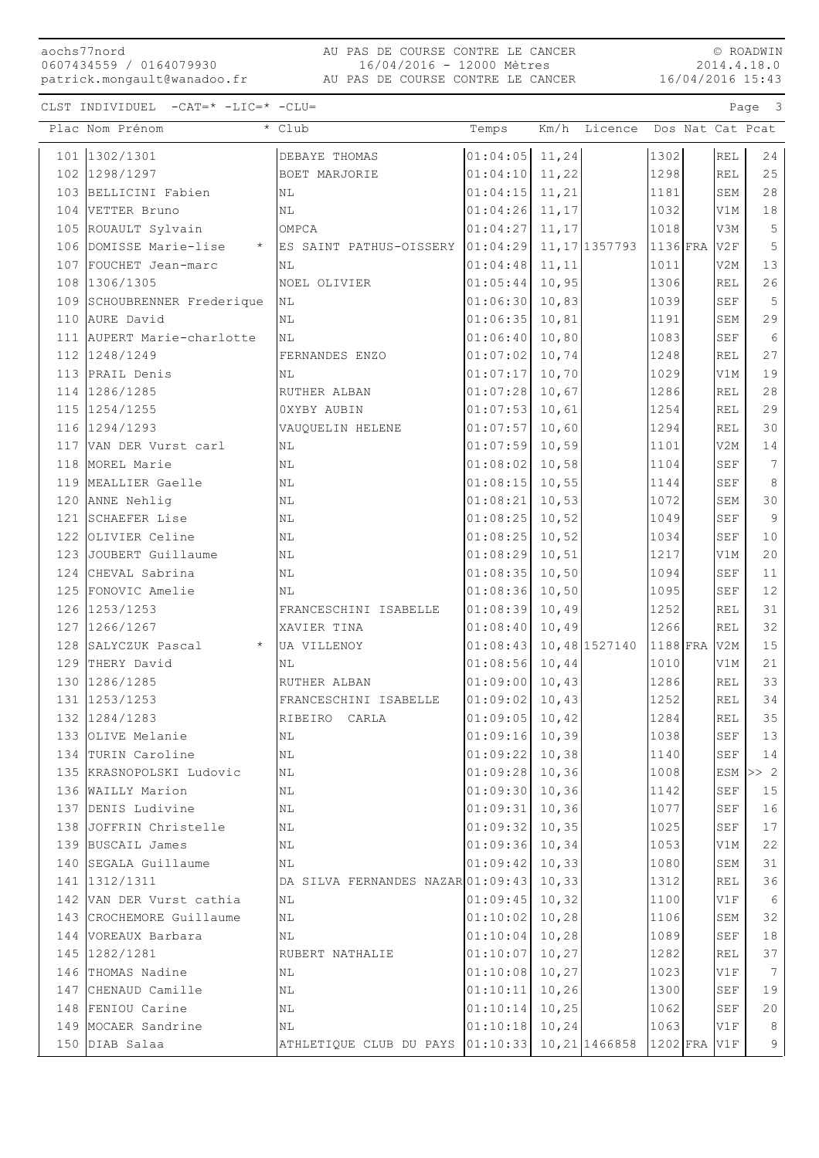## 16/04/2016 15:43 AU PAS DE COURSE CONTRE LE CANCER patrick.mongault@wanadoo.fr AU PAS DE COURSE CONTRE LE CANCER 16/04/2016 - 12000 Mètres

© ROADWIN 2014.4.18.0

| Plac Nom Prénom                   | * Club                            | Temps                     |        | Km/h Licence Dos Nat Cat Pcat |            |                      |                 |
|-----------------------------------|-----------------------------------|---------------------------|--------|-------------------------------|------------|----------------------|-----------------|
| 101 1302/1301                     | DEBAYE THOMAS                     | $01:04:05$ 11,24          |        |                               | 1302       | <b>REL</b>           | 24              |
| 102 1298/1297                     | BOET MARJORIE                     | 01:04:10                  | 11,22  |                               | 1298       | <b>REL</b>           | 25              |
| 103 BELLICINI Fabien              | NL                                | 01:04:15                  | 11,21  |                               | 1181       | SEM                  | $2\,8$          |
| 104 VETTER Bruno                  | NL                                | $01:04:26$ 11, 17         |        |                               | 1032       | V1M                  | $1\,8$          |
| 105 ROUAULT Sylvain               | OMPCA                             | 01:04:27                  | 11,17  |                               | 1018       | V3M                  | $\mathsf S$     |
| 106 DOMISSE Marie-lise<br>$\star$ | ES SAINT PATHUS-OISSERY 01:04:29  |                           |        | 11,17 1357793 1136 FRA        |            | V2F                  | 5               |
| 107 FOUCHET Jean-marc             | N <sub>L</sub>                    | 01:04:48                  | 11,11  |                               | 1011       | V2M                  | 13              |
| 108 1306/1305                     | NOEL OLIVIER                      | 01:05:44                  | 10,95  |                               | 1306       | <b>REL</b>           | 26              |
| 109 SCHOUBRENNER Frederique       | NL                                | 01:06:30                  | 10,83  |                               | 1039       | $\operatorname{SEF}$ | 5               |
| 110 AURE David                    | NL                                | 01:06:35                  | 10,81  |                               | 1191       | SEM                  | 29              |
| 111 AUPERT Marie-charlotte        | NL                                | 01:06:40                  | 10,80  |                               | 1083       | SEF                  | $\sqrt{6}$      |
| 112 1248/1249                     | FERNANDES ENZO                    | 01:07:02                  | 10,74  |                               | 1248       | <b>REL</b>           | 27              |
| 113 PRAIL Denis                   | ΝL                                | 01:07:17                  | 10,70  |                               | 1029       | V1M                  | 19              |
| 114 1286/1285                     | RUTHER ALBAN                      | $01:07:28$ 10,67          |        |                               | 1286       | <b>REL</b>           | $2\,8$          |
| 115 1254/1255                     | OXYBY AUBIN                       | $01:07:53$ 10,61          |        |                               | 1254       | <b>REL</b>           | 29              |
| 116 1294/1293                     | VAUQUELIN HELENE                  | 01:07:57                  | 10,60  |                               | 1294       | <b>REL</b>           | 30              |
| 117 VAN DER Vurst carl            | N <sub>L</sub>                    | 01:07:59                  | 10,59  |                               | 1101       | V <sub>2</sub> M     | 14              |
| 118 MOREL Marie                   | NL                                | 01:08:02                  | 10,58  |                               | 1104       | $\operatorname{SEF}$ | $7\phantom{.0}$ |
| 119 MEALLIER Gaelle               | NL                                | $01:08:15$ 10,55          |        |                               | 1144       | <b>SEF</b>           | $\,8\,$         |
| 120 ANNE Nehlig                   | ΝL                                | 01:08:21                  | 10,53  |                               | 1072       | SEM                  | 30              |
| 121 SCHAEFER Lise                 | NL                                | 01:08:25                  | 10,52  |                               | 1049       | SEF                  | $\mathsf 9$     |
| 122 OLIVIER Celine                | N <sub>L</sub>                    | 01:08:25                  | 10,52  |                               | 1034       | <b>SEF</b>           | 10              |
| 123 JOUBERT Guillaume             | NL                                | 01:08:29                  | 10, 51 |                               | 1217       | V1M                  | 20              |
| 124 CHEVAL Sabrina                | NL                                | $01:08:35$ 10,50          |        |                               | 1094       | SEF                  | 11              |
| 125 FONOVIC Amelie                | ΝL                                | $01:08:36$ 10,50          |        |                               | 1095       | SEF                  | $1\,2$          |
| 126 1253/1253                     | FRANCESCHINI ISABELLE             | 01:08:39                  | 10,49  |                               | 1252       | <b>REL</b>           | 31              |
| 127 1266/1267                     | XAVIER TINA                       | 01:08:40                  | 10,49  |                               | 1266       | <b>REL</b>           | 32              |
| 128 SALYCZUK Pascal<br>$\star$    | UA VILLENOY                       | $01:08:43$ 10, 48 1527140 |        |                               | $1188$ FRA | V2M                  | $15\,$          |
| 129 THERY David                   | ΝL                                | $01:08:56$ 10,44          |        |                               | 1010       | V1M                  | 21              |
| 130 1286/1285                     | RUTHER ALBAN                      | 01:09:00                  | 10,43  |                               | 1286       | <b>REL</b>           | 33              |
| 131 1253/1253                     | FRANCESCHINI ISABELLE             | 01:09:02                  | 10,43  |                               | 1252       | <b>REL</b>           | 34              |
| 132 1284/1283                     | RIBEIRO CARLA                     | $01:09:05$ 10,42          |        |                               | 1284       | <b>REL</b>           | 35              |
| 133 OLIVE Melanie                 | N <sub>L</sub>                    | $01:09:16$ 10,39          |        |                               |            | SEF                  | 13              |
| 134 TURIN Caroline                | ΝL                                | 01:09:22                  | 10, 38 |                               | 1140       | SEF                  | 14              |
| 135 KRASNOPOLSKI Ludovic          | ΝL                                | 01:09:28                  | 10, 36 |                               | 1008       | ESM                  | >> 2            |
| 136 WAILLY Marion                 | ΝL                                | 01:09:30                  | 10, 36 |                               | 1142       | <b>SEF</b>           | 15              |
| 137 DENIS Ludivine                | NL                                | 01:09:31                  | 10, 36 |                               | 1077       | <b>SEF</b>           | 16              |
| 138 JOFFRIN Christelle            | ΝL                                | 01:09:32                  | 10, 35 |                               | 1025       | SEF                  | 17              |
| 139 BUSCAIL James                 | ΝL                                | 01:09:36                  | 10, 34 |                               | 1053       | V1M                  | 22              |
| 140 SEGALA Guillaume              | ΝL                                | 01:09:42                  | 10, 33 |                               | 1080       | SEM                  | 31              |
| 141 1312/1311                     | DA SILVA FERNANDES NAZAR 01:09:43 |                           | 10, 33 |                               | 1312       | <b>REL</b>           | 36              |
| 142 VAN DER Vurst cathia          | NL                                | 01:09:45                  | 10, 32 |                               | 1100       | V1F                  | $\epsilon$      |
| 143 CROCHEMORE Guillaume          | ΝL                                | 01:10:02                  | 10,28  |                               | 1106       | SEM                  | 32              |
| 144 VOREAUX Barbara               | ΝL                                | 01:10:04                  | 10,28  |                               | 1089       | SEF                  | 18              |
| 145 1282/1281                     | RUBERT NATHALIE                   | 01:10:07                  | 10,27  |                               | 1282       | <b>REL</b>           | 37              |
| 146 THOMAS Nadine                 | ΝL                                | 01:10:08                  | 10, 27 |                               | 1023       | V1F                  | 7               |
| 147 CHENAUD Camille               | NL                                | 01:10:11                  | 10, 26 |                               | 1300       | <b>SEF</b>           | 19              |
| 148 FENIOU Carine                 | ΝL                                | 01:10:14                  | 10, 25 |                               | 1062       | SEF                  | 20              |
| 149 MOCAER Sandrine               | ΝL                                | 01:10:18                  | 10, 24 |                               | 1063       | V1F                  | 8               |
| 150 DIAB Salaa                    | ATHLETIQUE CLUB DU PAYS 01:10:33  |                           |        | 10, 21 1466858                | $1202$ FRA | V1F                  | 9               |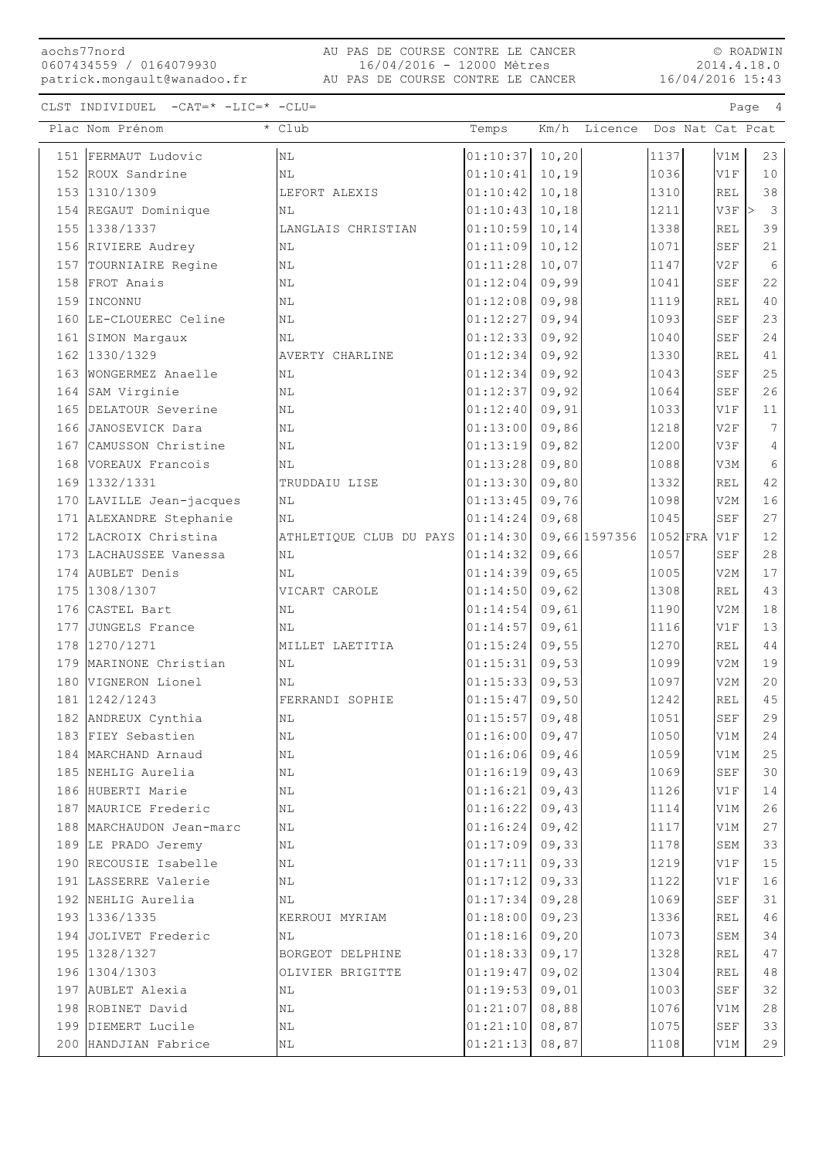aochs77nord 0607434559 / 0164079930

16/04/2016 15:43 AU PAS DE COURSE CONTRE LE CANCER patrick.mongault@wanadoo.fr AU PAS DE COURSE CONTRE LE CANCER 16/04/2016 - 12000 Mètres

© ROADWIN 2014.4.18.0

|     | Plac Nom Prénom                  | * Club                  | Temps                |                | Km/h Licence  |              |                      | Dos Nat Cat Pcat              |
|-----|----------------------------------|-------------------------|----------------------|----------------|---------------|--------------|----------------------|-------------------------------|
|     | 151 FERMAUT Ludovic              | N <sub>L</sub>          | 01:10:37             | 10, 20         |               | 1137         | V1M                  | 23                            |
|     | 152 ROUX Sandrine                | NL                      | 01:10:41             | 10, 19         |               | 1036         | V1F                  | 10                            |
|     | 153 1310/1309                    | LEFORT ALEXIS           | 01:10:42             | 10,18          |               | 1310         | REL                  | 38                            |
|     | 154 REGAUT Dominique             | NL                      | 01:10:43             | 10,18          |               | 1211         | V3F                  | l><br>$\overline{\mathbf{3}}$ |
|     | 155 1338/1337                    | LANGLAIS CHRISTIAN      | 01:10:59             | 10,14          |               | 1338         | <b>REL</b>           | 39                            |
|     | 156 RIVIERE Audrey               | ΝL                      | 01:11:09             | 10, 12         |               | 1071         | SEF                  | 21                            |
|     | 157 TOURNIAIRE Regine            | $\rm NL$                | 01:11:28             | 10,07          |               | 1147         | V2F                  | 6                             |
|     | 158 FROT Anais                   | ΝL                      | 01:12:04             | 09,99          |               | 1041         | <b>SEF</b>           | 22                            |
| 159 | INCONNU                          | NL                      | 01:12:08             | 09,98          |               | 1119         | <b>REL</b>           | 40                            |
|     | 160 LE-CLOUEREC Celine           | ΝL                      | 01:12:27             | 09,94          |               | 1093         | <b>SEF</b>           | 23                            |
|     | 161 SIMON Margaux                | ΝL                      | 01:12:33             | 09,92          |               | 1040         | SEF                  | 24                            |
|     | 162 1330/1329                    | AVERTY CHARLINE         | 01:12:34             | 09,92          |               | 1330         | <b>REL</b>           | 41                            |
|     | 163 WONGERMEZ Anaelle            | ΝL                      | 01:12:34             | 09,92          |               | 1043         | <b>SEF</b>           | 25                            |
|     | 164 SAM Virginie                 | ΝL                      | 01:12:37             | 09,92          |               | 1064         | $\operatorname{SEF}$ | 26                            |
|     | 165 DELATOUR Severine            | N <sub>L</sub>          | 01:12:40             | 09,91          |               | 1033         | V1F                  | 11                            |
|     | 166 JANOSEVICK Dara              | N <sub>L</sub>          | 01:13:00             | 09,86          |               | 1218         | V2F                  | $\overline{7}$                |
|     | 167 CAMUSSON Christine           | NL                      | 01:13:19             | 09,82          |               | 1200         | V3F                  | 4                             |
|     | 168 VOREAUX Francois             | ΝL                      | 01:13:28             | 09,80          |               | 1088         | V3M                  | 6                             |
|     | 169 1332/1331                    | TRUDDAIU LISE           | 01:13:30             | 09,80          |               | 1332         | <b>REL</b>           | 42                            |
|     | 170 LAVILLE Jean-jacques         | ΝL                      | 01:13:45             | 09,76          |               | 1098         | V2M                  | 16                            |
|     | 171 ALEXANDRE Stephanie          | NL                      | 01:14:24             | 09,68          |               | 1045         | <b>SEF</b>           | 27                            |
|     | 172 LACROIX Christina            | ATHLETIQUE CLUB DU PAYS | 01:14:30             |                | 09,66 1597356 | $1052$ FRA   | V1F                  | 12                            |
|     | 173 LACHAUSSEE Vanessa           | ΝL                      | 01:14:32             | 09,66          |               | 1057         | <b>SEF</b>           | 28                            |
|     | 174 AUBLET Denis                 | ΝL                      | 01:14:39             | 09,65          |               | 1005         | V2M                  | 17                            |
|     | 175 1308/1307                    | VICART CAROLE           | 01:14:50             | 09,62          |               | 1308         | <b>REL</b>           | 43                            |
|     | 176 CASTEL Bart                  | ΝL                      | 01:14:54             | 09,61          |               | 1190         | V2M                  | 18                            |
|     | 177 JUNGELS France               | N <sub>L</sub>          | 01:14:57             | 09,61          |               | 1116         | V1F                  | 13                            |
|     | 178 1270/1271                    | MILLET LAETITIA         | 01:15:24             | 09,55          |               | 1270         | <b>REL</b>           | 44                            |
| 179 | MARINONE Christian               | ΝL                      | 01:15:31             | 09,53          |               | 1099         | V2M                  | 19                            |
| 180 | VIGNERON Lionel<br>181 1242/1243 | ΝL                      | 01:15:33             | 09,53          |               | 1097         | V2M<br><b>REL</b>    | 20<br>45                      |
|     | 182 ANDREUX Cynthia              | FERRANDI SOPHIE<br>NL   | 01:15:47<br>01:15:57 | 09,50<br>09,48 |               | 1242<br>1051 | <b>SEF</b>           | 29                            |
|     | 183 FIEY Sebastien               | N <sub>L</sub>          | $01:16:00$ 09,47     |                |               | 1050         | V1M                  | 24                            |
|     | 184 MARCHAND Arnaud              | ΝL                      | 01:16:06             | 09,46          |               | 1059         | V1M                  | 25                            |
|     | 185 NEHLIG Aurelia               | ΝL                      | 01:16:19             | 09,43          |               | 1069         | SEF                  | 30                            |
|     | 186 HUBERTI Marie                | NL                      | 01:16:21             | 09,43          |               | 1126         | V1F                  | 14                            |
|     | 187 MAURICE Frederic             | NL                      | 01:16:22             | 09,43          |               | 1114         | V1M                  | 26                            |
|     | 188 MARCHAUDON Jean-marc         | ΝL                      | 01:16:24             | 09,42          |               | 1117         | V1M                  | 27                            |
|     | 189 LE PRADO Jeremy              | NL                      | 01:17:09             | 09,33          |               | 1178         | SEM                  | 33                            |
|     | 190 RECOUSIE Isabelle            | NL                      | 01:17:11             | 09,33          |               | 1219         | V1F                  | 15                            |
|     | 191 LASSERRE Valerie             | ΝL                      | 01:17:12             | 09,33          |               | 1122         | V1F                  | 16                            |
|     | 192 NEHLIG Aurelia               | ΝL                      | 01:17:34             | 09,28          |               | 1069         | SEF                  | 31                            |
|     | 193 1336/1335                    | KERROUI MYRIAM          | 01:18:00             | 09, 23         |               | 1336         | REL                  | 46                            |
|     | 194 JOLIVET Frederic             | ΝL                      | 01:18:16             | 09,20          |               | 1073         | SEM                  | 34                            |
|     | 195 1328/1327                    | BORGEOT DELPHINE        | 01:18:33             | 09, 17         |               | 1328         | REL                  | 47                            |
|     | 196 1304/1303                    | OLIVIER BRIGITTE        | 01:19:47             | 09,02          |               | 1304         | REL                  | 48                            |
|     | 197 AUBLET Alexia                | ΝL                      | 01:19:53             | 09,01          |               | 1003         | SEF                  | 32                            |
|     | 198 ROBINET David                | ΝL                      | 01:21:07             | 08,88          |               | 1076         | V1M                  | 28                            |
|     | 199 DIEMERT Lucile               | ΝL                      | 01:21:10             | 08,87          |               | 1075         | SEF                  | 33                            |
|     | 200 HANDJIAN Fabrice             | ΝL                      | 01:21:13             | 08,87          |               | 1108         | V1M                  | 29                            |
|     |                                  |                         |                      |                |               |              |                      |                               |